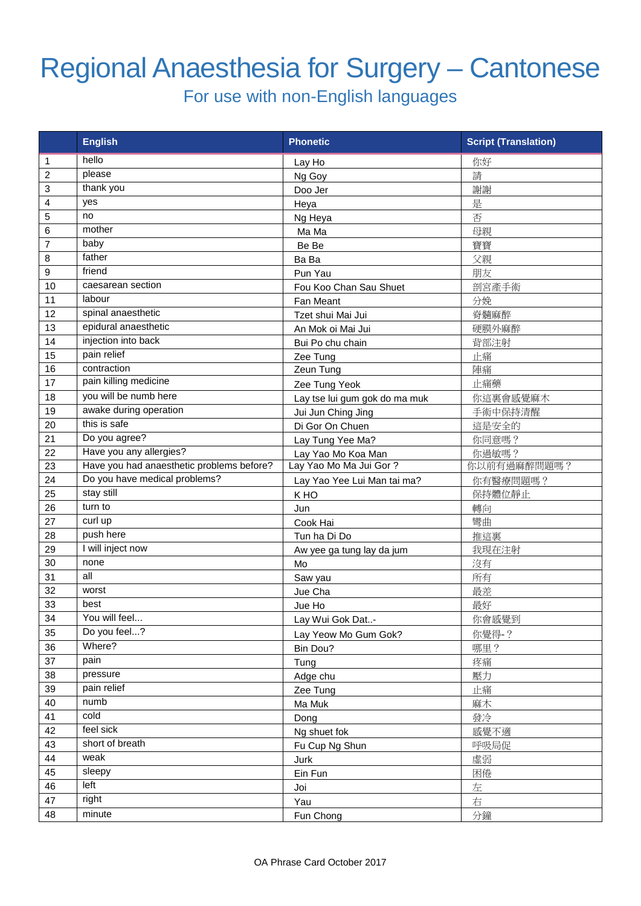## Regional Anaesthesia for Surgery – Cantonese

For use with non-English languages

|                | <b>English</b>                            | <b>Phonetic</b>               | <b>Script (Translation)</b> |
|----------------|-------------------------------------------|-------------------------------|-----------------------------|
| 1              | hello                                     | Lay Ho                        | 你好                          |
| $\overline{c}$ | please                                    | Ng Goy                        | 請                           |
| 3              | thank you                                 | Doo Jer                       | 謝謝                          |
| 4              | yes                                       | Heya                          | 是                           |
| 5              | no                                        | Ng Heya                       | 否                           |
| 6              | mother                                    | Ma Ma                         | 母親                          |
| 7              | baby                                      | Be Be                         | 寶寶                          |
| 8              | father                                    | Ba Ba                         | 父親                          |
| 9              | friend                                    | Pun Yau                       | 朋友                          |
| 10             | caesarean section                         | Fou Koo Chan Sau Shuet        | 剖宮產手術                       |
| 11             | labour                                    | Fan Meant                     | 分娩                          |
| 12             | spinal anaesthetic                        | Tzet shui Mai Jui             | 脊髓麻醉                        |
| 13             | epidural anaesthetic                      | An Mok oi Mai Jui             | 硬膜外麻醉                       |
| 14             | injection into back                       | Bui Po chu chain              | 背部注射                        |
| 15             | pain relief                               | Zee Tung                      | 止痛                          |
| 16             | contraction                               | Zeun Tung                     | 陣痛                          |
| 17             | pain killing medicine                     | Zee Tung Yeok                 | 止痛藥                         |
| 18             | you will be numb here                     | Lay tse lui gum gok do ma muk | 你這裏會感覺麻木                    |
| 19             | awake during operation                    | Jui Jun Ching Jing            | 手術中保持清醒                     |
| 20             | this is safe                              | Di Gor On Chuen               | 這是安全的                       |
| 21             | Do you agree?                             | Lay Tung Yee Ma?              | 你同意嗎?                       |
| 22             | Have you any allergies?                   | Lay Yao Mo Koa Man            | 你過敏嗎?                       |
| 23             | Have you had anaesthetic problems before? | Lay Yao Mo Ma Jui Gor?        | 你以前有過麻醉問題嗎?                 |
| 24             | Do you have medical problems?             | Lay Yao Yee Lui Man tai ma?   | 你有醫療問題嗎?                    |
| 25             | stay still                                | K HO                          | 保持體位靜止                      |
| 26             | turn to                                   | Jun                           | 轉向                          |
| 27             | curl up                                   | Cook Hai                      | 彎曲                          |
| 28             | push here                                 | Tun ha Di Do                  | 推這裏                         |
| 29             | I will inject now                         | Aw yee ga tung lay da jum     | 我現在注射                       |
| 30             | none                                      | Mo                            | 沒有                          |
| 31             | all                                       | Saw yau                       | 所有                          |
| 32             | worst                                     | Jue Cha                       | 最差                          |
| 33             | best                                      | Jue Ho                        | 最好                          |
| 34             | You will feel                             | Lay Wui Gok Dat-              | 你會感覺到                       |
| 35             | Do you feel?                              | Lay Yeow Mo Gum Gok?          | 你覺得-?                       |
| 36             | Where?                                    | Bin Dou?                      | 哪里?                         |
| 37             | pain                                      | Tung                          | 疼痛                          |
| 38             | pressure                                  | Adge chu                      | 壓力                          |
| 39             | pain relief                               | Zee Tung                      | 止痛                          |
| 40             | numb                                      | Ma Muk                        | 麻木                          |
| 41             | cold                                      | Dong                          | 發冷                          |
| 42             | feel sick                                 | Ng shuet fok                  | 感覺不適                        |
| 43             | short of breath                           | Fu Cup Ng Shun                | 呼吸局促                        |
| 44             | weak                                      | Jurk                          | 虛弱                          |
| 45             | sleepy                                    | Ein Fun                       | 困倦                          |
| 46             | left                                      | Joi                           | 左                           |
| 47             | right                                     | Yau                           | 右                           |
| 48             | minute                                    | Fun Chong                     | 分鐘                          |